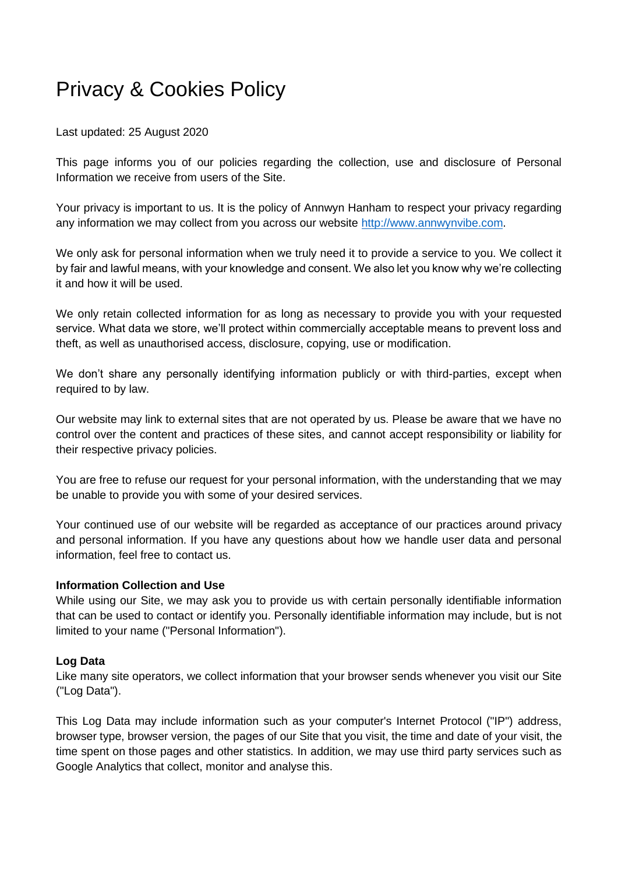# Privacy & Cookies Policy

Last updated: 25 August 2020

This page informs you of our policies regarding the collection, use and disclosure of Personal Information we receive from users of the Site.

Your privacy is important to us. It is the policy of Annwyn Hanham to respect your privacy regarding any information we may collect from you across our website [http://www.a](http://www./)nnwynvibe.com.

We only ask for personal information when we truly need it to provide a service to you. We collect it by fair and lawful means, with your knowledge and consent. We also let you know why we're collecting it and how it will be used.

We only retain collected information for as long as necessary to provide you with your requested service. What data we store, we'll protect within commercially acceptable means to prevent loss and theft, as well as unauthorised access, disclosure, copying, use or modification.

We don't share any personally identifying information publicly or with third-parties, except when required to by law.

Our website may link to external sites that are not operated by us. Please be aware that we have no control over the content and practices of these sites, and cannot accept responsibility or liability for their respective privacy policies.

You are free to refuse our request for your personal information, with the understanding that we may be unable to provide you with some of your desired services.

Your continued use of our website will be regarded as acceptance of our practices around privacy and personal information. If you have any questions about how we handle user data and personal information, feel free to contact us.

## **Information Collection and Use**

While using our Site, we may ask you to provide us with certain personally identifiable information that can be used to contact or identify you. Personally identifiable information may include, but is not limited to your name ("Personal Information").

## **Log Data**

Like many site operators, we collect information that your browser sends whenever you visit our Site ("Log Data").

This Log Data may include information such as your computer's Internet Protocol ("IP") address, browser type, browser version, the pages of our Site that you visit, the time and date of your visit, the time spent on those pages and other statistics. In addition, we may use third party services such as Google Analytics that collect, monitor and analyse this.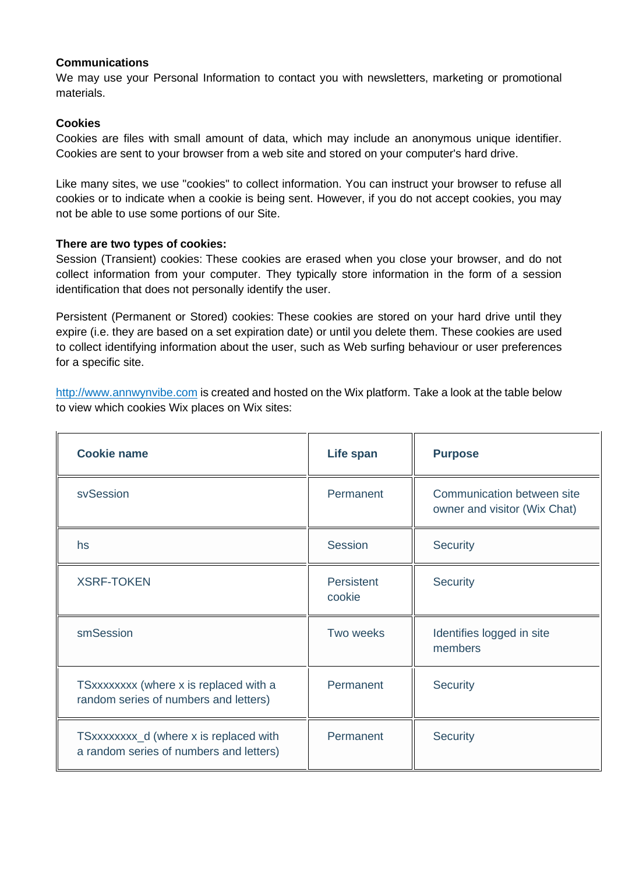## **Communications**

We may use your Personal Information to contact you with newsletters, marketing or promotional materials.

## **Cookies**

Cookies are files with small amount of data, which may include an anonymous unique identifier. Cookies are sent to your browser from a web site and stored on your computer's hard drive.

Like many sites, we use "cookies" to collect information. You can instruct your browser to refuse all cookies or to indicate when a cookie is being sent. However, if you do not accept cookies, you may not be able to use some portions of our Site.

## **There are two types of cookies:**

Session (Transient) cookies: These cookies are erased when you close your browser, and do not collect information from your computer. They typically store information in the form of a session identification that does not personally identify the user.

Persistent (Permanent or Stored) cookies: These cookies are stored on your hard drive until they expire (i.e. they are based on a set expiration date) or until you delete them. These cookies are used to collect identifying information about the user, such as Web surfing behaviour or user preferences for a specific site.

[http://www.a](http://www./)nnwynvibe.com is created and hosted on the Wix platform. Take a look at the table below to view which cookies Wix places on Wix sites:

| <b>Cookie name</b>                                                                | Life span            | <b>Purpose</b>                                             |
|-----------------------------------------------------------------------------------|----------------------|------------------------------------------------------------|
| svSession                                                                         | Permanent            | Communication between site<br>owner and visitor (Wix Chat) |
| hs                                                                                | <b>Session</b>       | <b>Security</b>                                            |
| <b>XSRF-TOKEN</b>                                                                 | Persistent<br>cookie | Security                                                   |
| smSession                                                                         | Two weeks            | Identifies logged in site<br>members                       |
| TSxxxxxxxx (where x is replaced with a<br>random series of numbers and letters)   | Permanent            | Security                                                   |
| TSxxxxxxxx_d (where x is replaced with<br>a random series of numbers and letters) | Permanent            | <b>Security</b>                                            |